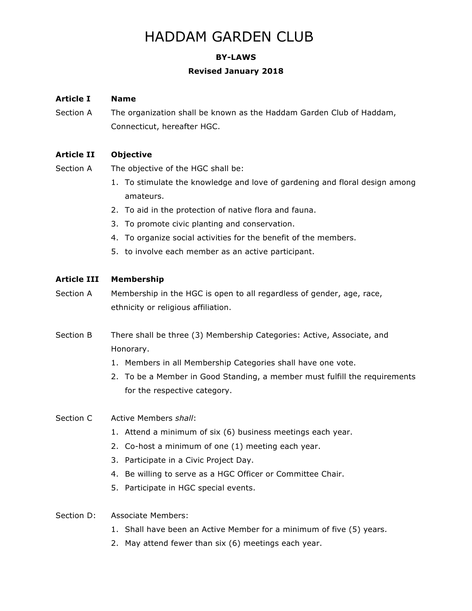# HADDAM GARDEN CLUB

# **BY-LAWS**

## **Revised January 2018**

# **Article I Name**

Section A The organization shall be known as the Haddam Garden Club of Haddam, Connecticut, hereafter HGC.

# **Article II Objective**

- Section A The objective of the HGC shall be:
	- 1. To stimulate the knowledge and love of gardening and floral design among amateurs.
	- 2. To aid in the protection of native flora and fauna.
	- 3. To promote civic planting and conservation.
	- 4. To organize social activities for the benefit of the members.
	- 5. to involve each member as an active participant.

# **Article III Membership**

- Section A Membership in the HGC is open to all regardless of gender, age, race, ethnicity or religious affiliation.
- Section B There shall be three (3) Membership Categories: Active, Associate, and Honorary.
	- 1. Members in all Membership Categories shall have one vote.
	- 2. To be a Member in Good Standing, a member must fulfill the requirements for the respective category.

# Section C Active Members *shall*:

- 1. Attend a minimum of six (6) business meetings each year.
- 2. Co-host a minimum of one (1) meeting each year.
- 3. Participate in a Civic Project Day.
- 4. Be willing to serve as a HGC Officer or Committee Chair.
- 5. Participate in HGC special events.

# Section D: Associate Members:

- 1. Shall have been an Active Member for a minimum of five (5) years.
- 2. May attend fewer than six (6) meetings each year.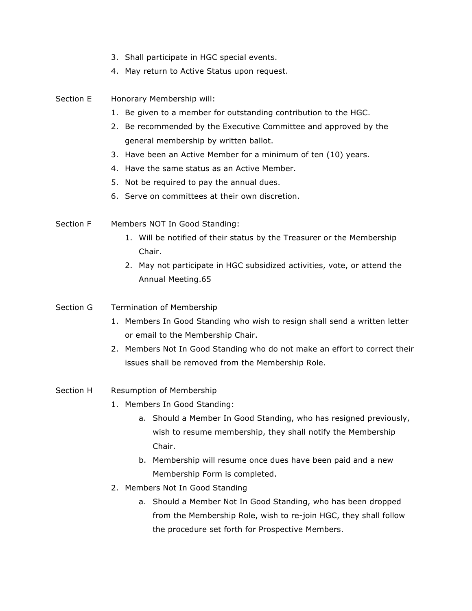- 3. Shall participate in HGC special events.
- 4. May return to Active Status upon request.
- Section E Honorary Membership will:
	- 1. Be given to a member for outstanding contribution to the HGC.
	- 2. Be recommended by the Executive Committee and approved by the general membership by written ballot.
	- 3. Have been an Active Member for a minimum of ten (10) years.
	- 4. Have the same status as an Active Member.
	- 5. Not be required to pay the annual dues.
	- 6. Serve on committees at their own discretion.
- Section F Members NOT In Good Standing:
	- 1. Will be notified of their status by the Treasurer or the Membership Chair.
	- 2. May not participate in HGC subsidized activities, vote, or attend the Annual Meeting.65
- Section G Termination of Membership
	- 1. Members In Good Standing who wish to resign shall send a written letter or email to the Membership Chair.
	- 2. Members Not In Good Standing who do not make an effort to correct their issues shall be removed from the Membership Role.
- Section H Resumption of Membership
	- 1. Members In Good Standing:
		- a. Should a Member In Good Standing, who has resigned previously, wish to resume membership, they shall notify the Membership Chair.
		- b. Membership will resume once dues have been paid and a new Membership Form is completed.
	- 2. Members Not In Good Standing
		- a. Should a Member Not In Good Standing, who has been dropped from the Membership Role, wish to re-join HGC, they shall follow the procedure set forth for Prospective Members.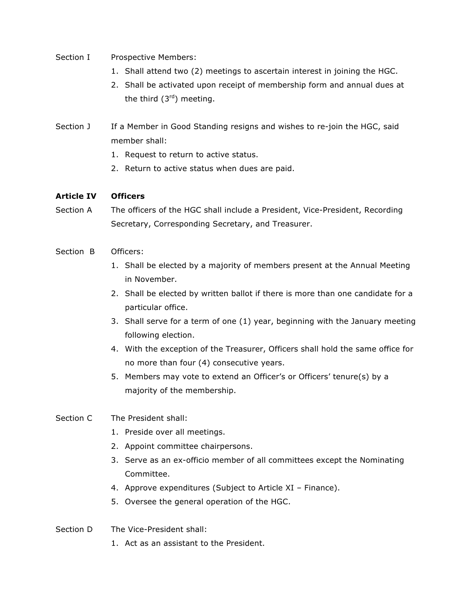- Section I Prospective Members:
	- 1. Shall attend two (2) meetings to ascertain interest in joining the HGC.
	- 2. Shall be activated upon receipt of membership form and annual dues at the third  $(3<sup>rd</sup>)$  meeting.
- Section J If a Member in Good Standing resigns and wishes to re-join the HGC, said member shall:
	- 1. Request to return to active status.
	- 2. Return to active status when dues are paid.

## **Article IV Officers**

Section A The officers of the HGC shall include a President, Vice-President, Recording Secretary, Corresponding Secretary, and Treasurer.

## Section B Officers:

- 1. Shall be elected by a majority of members present at the Annual Meeting in November.
- 2. Shall be elected by written ballot if there is more than one candidate for a particular office.
- 3. Shall serve for a term of one (1) year, beginning with the January meeting following election.
- 4. With the exception of the Treasurer, Officers shall hold the same office for no more than four (4) consecutive years.
- 5. Members may vote to extend an Officer's or Officers' tenure(s) by a majority of the membership.

# Section C The President shall:

- 1. Preside over all meetings.
- 2. Appoint committee chairpersons.
- 3. Serve as an ex-officio member of all committees except the Nominating Committee.
- 4. Approve expenditures (Subject to Article XI Finance).
- 5. Oversee the general operation of the HGC.
- Section D The Vice-President shall:
	- 1. Act as an assistant to the President.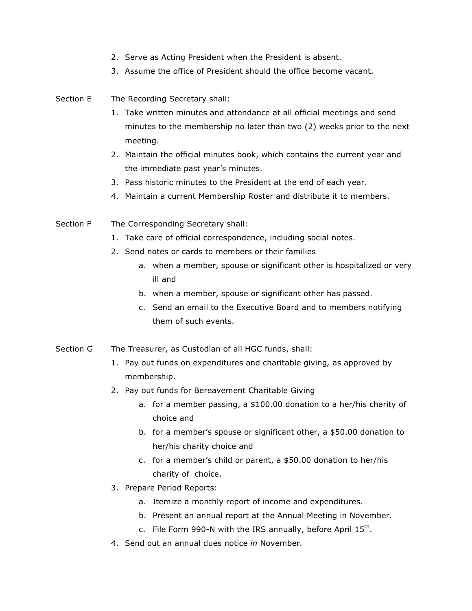- 2. Serve as Acting President when the President is absent.
- 3. Assume the office of President should the office become vacant.
- Section E The Recording Secretary shall:
	- 1. Take written minutes and attendance at all official meetings and send minutes to the membership no later than two (2) weeks prior to the next meeting.
	- 2. Maintain the official minutes book, which contains the current year and the immediate past year's minutes.
	- 3. Pass historic minutes to the President at the end of each year.
	- 4. Maintain a current Membership Roster and distribute it to members.
- Section F The Corresponding Secretary shall:
	- 1. Take care of official correspondence, including social notes.
	- 2. Send notes or cards to members or their families
		- a. when a member, spouse or significant other is hospitalized or very ill and
		- b. when a member, spouse or significant other has passed.
		- c. Send an email to the Executive Board and to members notifying them of such events.
- Section G The Treasurer, as Custodian of all HGC funds, shall:
	- 1. Pay out funds on expenditures and charitable giving*,* as approved by membership.
	- 2. Pay out funds for Bereavement Charitable Giving
		- a. for a member passing, a \$100.00 donation to a her/his charity of choice and
		- b. for a member's spouse or significant other, a \$50.00 donation to her/his charity choice and
		- c. for a member's child or parent, a \$50.00 donation to her/his charity of choice.
	- 3. Prepare Period Reports:
		- a. Itemize a monthly report of income and expenditures.
		- b. Present an annual report at the Annual Meeting in November.
		- c. File Form 990-N with the IRS annually, before April  $15<sup>th</sup>$ .
	- 4. Send out an annual dues notice *in* November*.*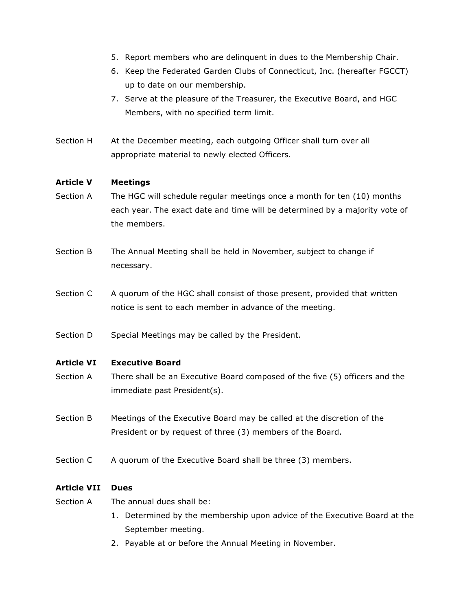- 5. Report members who are delinquent in dues to the Membership Chair.
- 6. Keep the Federated Garden Clubs of Connecticut, Inc. (hereafter FGCCT) up to date on our membership.
- 7. Serve at the pleasure of the Treasurer, the Executive Board, and HGC Members, with no specified term limit.
- Section H At the December meeting, each outgoing Officer shall turn over all appropriate material to newly elected Officers*.*

## **Article V Meetings**

- Section A The HGC will schedule regular meetings once a month for ten (10) months each year. The exact date and time will be determined by a majority vote of the members.
- Section B The Annual Meeting shall be held in November, subject to change if necessary.
- Section C A quorum of the HGC shall consist of those present, provided that written notice is sent to each member in advance of the meeting.
- Section D Special Meetings may be called by the President.

# **Article VI Executive Board**

- Section A There shall be an Executive Board composed of the five (5) officers and the immediate past President(s).
- Section B Meetings of the Executive Board may be called at the discretion of the President or by request of three (3) members of the Board.
- Section C A quorum of the Executive Board shall be three (3) members.

#### **Article VII Dues**

- Section A The annual dues shall be:
	- 1. Determined by the membership upon advice of the Executive Board at the September meeting.
	- 2. Payable at or before the Annual Meeting in November.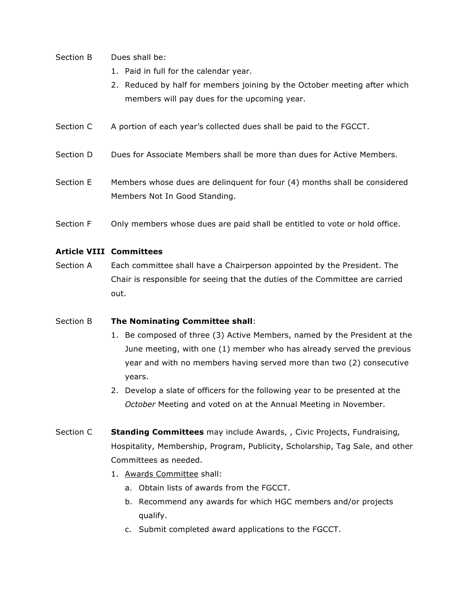- Section B Dues shall be:
	- 1. Paid in full for the calendar year.
	- 2. Reduced by half for members joining by the October meeting after which members will pay dues for the upcoming year.
- Section C A portion of each year's collected dues shall be paid to the FGCCT.
- Section D Dues for Associate Members shall be more than dues for Active Members.
- Section E Members whose dues are delinquent for four (4) months shall be considered Members Not In Good Standing.
- Section F Only members whose dues are paid shall be entitled to vote or hold office.

## **Article VIII Committees**

Section A Each committee shall have a Chairperson appointed by the President. The Chair is responsible for seeing that the duties of the Committee are carried out.

#### Section B **The Nominating Committee shall**:

- 1. Be composed of three (3) Active Members, named by the President at the June meeting, with one (1) member who has already served the previous year and with no members having served more than two (2) consecutive years.
- 2. Develop a slate of officers for the following year to be presented at the *October* Meeting and voted on at the Annual Meeting in November.
- Section C **Standing Committees** may include Awards, , Civic Projects, Fundraising*,*  Hospitality, Membership, Program, Publicity, Scholarship, Tag Sale, and other Committees as needed.
	- 1. Awards Committee shall:
		- a. Obtain lists of awards from the FGCCT.
		- b. Recommend any awards for which HGC members and/or projects qualify.
		- c. Submit completed award applications to the FGCCT.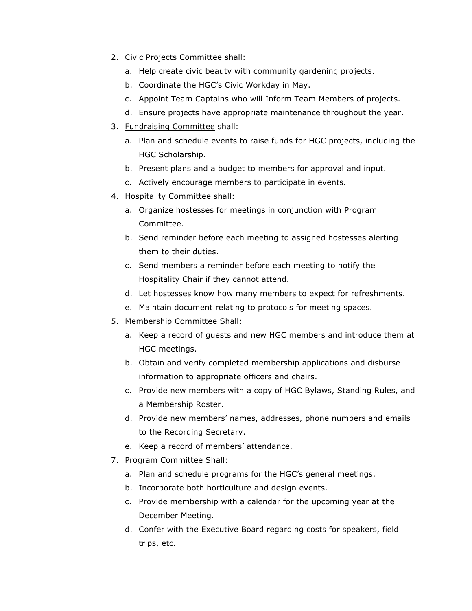- 2. Civic Projects Committee shall:
	- a. Help create civic beauty with community gardening projects.
	- b. Coordinate the HGC's Civic Workday in May.
	- c. Appoint Team Captains who will Inform Team Members of projects.
	- d. Ensure projects have appropriate maintenance throughout the year.
- 3. Fundraising Committee shall:
	- a. Plan and schedule events to raise funds for HGC projects, including the HGC Scholarship.
	- b. Present plans and a budget to members for approval and input.
	- c. Actively encourage members to participate in events.
- 4. Hospitality Committee shall:
	- a. Organize hostesses for meetings in conjunction with Program Committee.
	- b. Send reminder before each meeting to assigned hostesses alerting them to their duties.
	- c. Send members a reminder before each meeting to notify the Hospitality Chair if they cannot attend.
	- d. Let hostesses know how many members to expect for refreshments.
	- e. Maintain document relating to protocols for meeting spaces.
- 5. Membership Committee Shall:
	- a. Keep a record of guests and new HGC members and introduce them at HGC meetings.
	- b. Obtain and verify completed membership applications and disburse information to appropriate officers and chairs.
	- c. Provide new members with a copy of HGC Bylaws, Standing Rules, and a Membership Roster.
	- d. Provide new members' names, addresses, phone numbers and emails to the Recording Secretary.
	- e. Keep a record of members' attendance.
- 7. Program Committee Shall:
	- a. Plan and schedule programs for the HGC's general meetings.
	- b. Incorporate both horticulture and design events.
	- c. Provide membership with a calendar for the upcoming year at the December Meeting.
	- d. Confer with the Executive Board regarding costs for speakers, field trips, etc.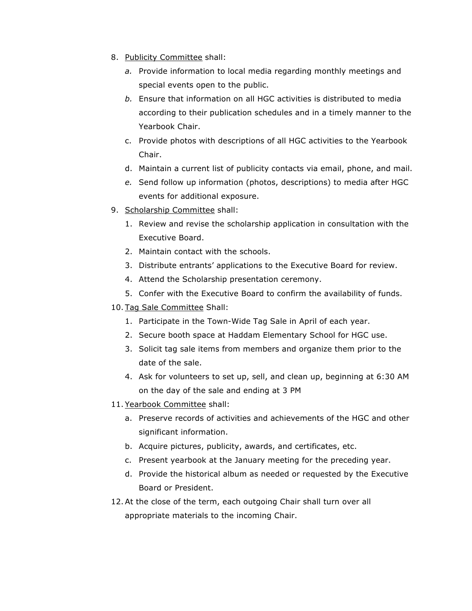- 8. Publicity Committee shall:
	- *a.* Provide information to local media regarding monthly meetings and special events open to the public.
	- *b.* Ensure that information on all HGC activities is distributed to media according to their publication schedules and in a timely manner to the Yearbook Chair.
	- c. Provide photos with descriptions of all HGC activities to the Yearbook Chair.
	- d. Maintain a current list of publicity contacts via email, phone, and mail.
	- *e.* Send follow up information (photos, descriptions) to media after HGC events for additional exposure.
- 9. Scholarship Committee shall:
	- 1. Review and revise the scholarship application in consultation with the Executive Board.
	- 2. Maintain contact with the schools.
	- 3. Distribute entrants' applications to the Executive Board for review.
	- 4. Attend the Scholarship presentation ceremony.
	- 5. Confer with the Executive Board to confirm the availability of funds.
- 10. Tag Sale Committee Shall:
	- 1. Participate in the Town-Wide Tag Sale in April of each year.
	- 2. Secure booth space at Haddam Elementary School for HGC use.
	- 3. Solicit tag sale items from members and organize them prior to the date of the sale.
	- 4. Ask for volunteers to set up, sell, and clean up, beginning at 6:30 AM on the day of the sale and ending at 3 PM
- 11. Yearbook Committee shall:
	- a. Preserve records of activities and achievements of the HGC and other significant information.
	- b. Acquire pictures, publicity, awards, and certificates, etc.
	- c. Present yearbook at the January meeting for the preceding year.
	- d. Provide the historical album as needed or requested by the Executive Board or President.
- 12. At the close of the term, each outgoing Chair shall turn over all appropriate materials to the incoming Chair.